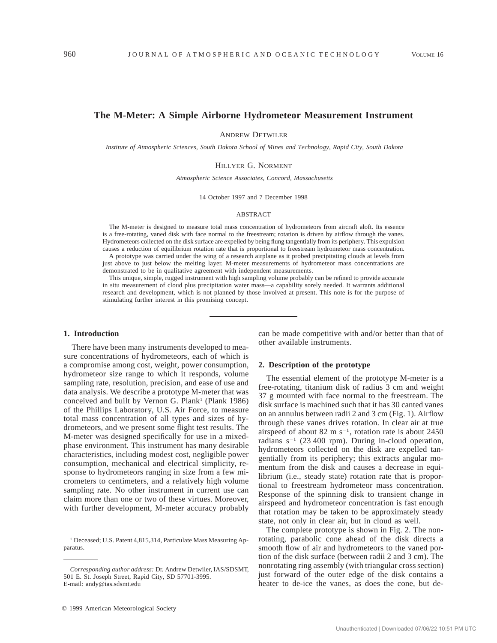# **The M-Meter: A Simple Airborne Hydrometeor Measurement Instrument**

ANDREW DETWILER

*Institute of Atmospheric Sciences, South Dakota School of Mines and Technology, Rapid City, South Dakota*

### HILLYER G. NORMENT

*Atmospheric Science Associates, Concord, Massachusetts*

14 October 1997 and 7 December 1998

#### ABSTRACT

The M-meter is designed to measure total mass concentration of hydrometeors from aircraft aloft. Its essence is a free-rotating, vaned disk with face normal to the freestream; rotation is driven by airflow through the vanes. Hydrometeors collected on the disk surface are expelled by being flung tangentially from its periphery. This expulsion causes a reduction of equilibrium rotation rate that is proportional to freestream hydrometeor mass concentration. A prototype was carried under the wing of a research airplane as it probed precipitating clouds at levels from

just above to just below the melting layer. M-meter measurements of hydrometeor mass concentrations are demonstrated to be in qualitative agreement with independent measurements.

This unique, simple, rugged instrument with high sampling volume probably can be refined to provide accurate in situ measurement of cloud plus precipitation water mass—a capability sorely needed. It warrants additional research and development, which is not planned by those involved at present. This note is for the purpose of stimulating further interest in this promising concept.

## **1. Introduction**

There have been many instruments developed to measure concentrations of hydrometeors, each of which is a compromise among cost, weight, power consumption, hydrometeor size range to which it responds, volume sampling rate, resolution, precision, and ease of use and data analysis. We describe a prototype M-meter that was conceived and built by Vernon G. Plank<sup>1</sup> (Plank 1986) of the Phillips Laboratory, U.S. Air Force, to measure total mass concentration of all types and sizes of hydrometeors, and we present some flight test results. The M-meter was designed specifically for use in a mixedphase environment. This instrument has many desirable characteristics, including modest cost, negligible power consumption, mechanical and electrical simplicity, response to hydrometeors ranging in size from a few micrometers to centimeters, and a relatively high volume sampling rate. No other instrument in current use can claim more than one or two of these virtues. Moreover, with further development, M-meter accuracy probably

can be made competitive with and/or better than that of other available instruments.

#### **2. Description of the prototype**

The essential element of the prototype M-meter is a free-rotating, titanium disk of radius 3 cm and weight 37 g mounted with face normal to the freestream. The disk surface is machined such that it has 30 canted vanes on an annulus between radii 2 and 3 cm (Fig. 1). Airflow through these vanes drives rotation. In clear air at true airspeed of about 82 m  $s^{-1}$ , rotation rate is about 2450 radians  $s^{-1}$  (23 400 rpm). During in-cloud operation, hydrometeors collected on the disk are expelled tangentially from its periphery; this extracts angular momentum from the disk and causes a decrease in equilibrium (i.e., steady state) rotation rate that is proportional to freestream hydrometeor mass concentration. Response of the spinning disk to transient change in airspeed and hydrometeor concentration is fast enough that rotation may be taken to be approximately steady state, not only in clear air, but in cloud as well.

The complete prototype is shown in Fig. 2. The nonrotating, parabolic cone ahead of the disk directs a smooth flow of air and hydrometeors to the vaned portion of the disk surface (between radii 2 and 3 cm). The nonrotating ring assembly (with triangular cross section) just forward of the outer edge of the disk contains a heater to de-ice the vanes, as does the cone, but de-

<sup>&</sup>lt;sup>1</sup> Deceased; U.S. Patent 4,815,314, Particulate Mass Measuring Apparatus.

*Corresponding author address:* Dr. Andrew Detwiler, IAS/SDSMT, 501 E. St. Joseph Street, Rapid City, SD 57701-3995. E-mail: andy@ias.sdsmt.edu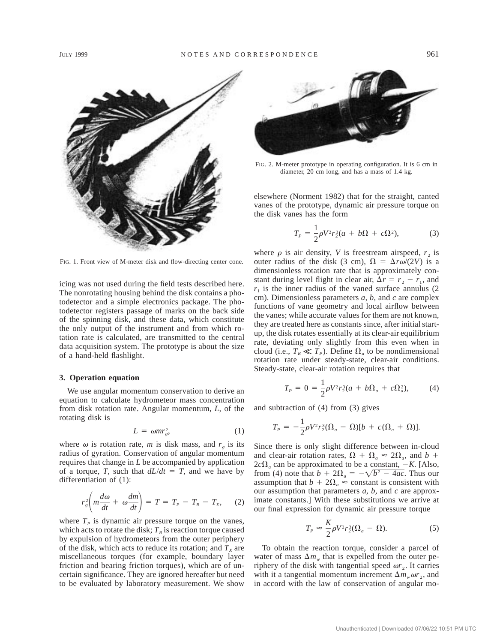

FIG. 1. Front view of M-meter disk and flow-directing center cone.

icing was not used during the field tests described here. The nonrotating housing behind the disk contains a photodetector and a simple electronics package. The photodetector registers passage of marks on the back side of the spinning disk, and these data, which constitute the only output of the instrument and from which rotation rate is calculated, are transmitted to the central data acquisition system. The prototype is about the size of a hand-held flashlight.

### **3. Operation equation**

We use angular momentum conservation to derive an equation to calculate hydrometeor mass concentration from disk rotation rate. Angular momentum, *L,* of the rotating disk is

$$
L = \omega m r_g^2, \tag{1}
$$

where  $\omega$  is rotation rate, *m* is disk mass, and  $r<sub>g</sub>$  is its radius of gyration. Conservation of angular momentum requires that change in *L* be accompanied by application of a torque, *T*, such that  $dL/dt = T$ , and we have by differentiation of (1):

$$
r_s^2 \left( m \frac{d\omega}{dt} + \omega \frac{dm}{dt} \right) = T = T_p - T_R - T_x, \quad (2)
$$

where  $T<sub>p</sub>$  is dynamic air pressure torque on the vanes, which acts to rotate the disk;  $T<sub>R</sub>$  is reaction torque caused by expulsion of hydrometeors from the outer periphery of the disk, which acts to reduce its rotation; and  $T_x$  are miscellaneous torques (for example, boundary layer friction and bearing friction torques), which are of uncertain significance. They are ignored hereafter but need to be evaluated by laboratory measurement. We show



FIG. 2. M-meter prototype in operating configuration. It is 6 cm in diameter, 20 cm long, and has a mass of 1.4 kg.

elsewhere (Norment 1982) that for the straight, canted vanes of the prototype, dynamic air pressure torque on the disk vanes has the form

$$
T_p = \frac{1}{2}\rho V^2 r_2^3 (a + b\Omega + c\Omega^2),\tag{3}
$$

where  $\rho$  is air density, *V* is freestream airspeed,  $r_2$  is outer radius of the disk (3 cm),  $\Omega = \Delta r \omega/(2V)$  is a dimensionless rotation rate that is approximately constant during level flight in clear air,  $\Delta r = r_2 - r_1$ , and  $r_1$  is the inner radius of the vaned surface annulus (2) cm). Dimensionless parameters *a, b,* and *c* are complex functions of vane geometry and local airflow between the vanes; while accurate values for them are not known, they are treated here as constants since, after initial startup, the disk rotates essentially at its clear-air equilibrium rate, deviating only slightly from this even when in cloud (i.e.,  $T_R \ll T_P$ ). Define  $\Omega_a$  to be nondimensional rotation rate under steady-state, clear-air conditions. Steady-state, clear-air rotation requires that

$$
T_P = 0 = \frac{1}{2}\rho V^2 r_2^3 (a + b\Omega_a + c\Omega_a^2),
$$
 (4)

and subtraction of (4) from (3) gives

$$
T_p = -\frac{1}{2}\rho V^2 r_2^3 (\Omega_a - \Omega)[b + c(\Omega_a + \Omega)].
$$

Since there is only slight difference between in-cloud and clear-air rotation rates,  $\Omega + \Omega_a \approx 2\Omega_a$ , and *b* +  $2c\Omega_a$  can be approximated to be a constant,  $-K$ . [Also, from (4) note that  $b + 2\Omega_a = -\sqrt{b^2 - 4ac}$ . Thus our assumption that  $b + 2\Omega_a \approx$  constant is consistent with our assumption that parameters *a, b,* and *c* are approximate constants.] With these substitutions we arrive at our final expression for dynamic air pressure torque

$$
T_P \approx \frac{K}{2} \rho V^2 r_2^3 (\Omega_a - \Omega). \tag{5}
$$

To obtain the reaction torque, consider a parcel of water of mass  $\Delta m_w$  that is expelled from the outer periphery of the disk with tangential speed  $\omega r_2$ . It carries with it a tangential momentum increment  $\Delta m_w \omega r_2$ , and in accord with the law of conservation of angular mo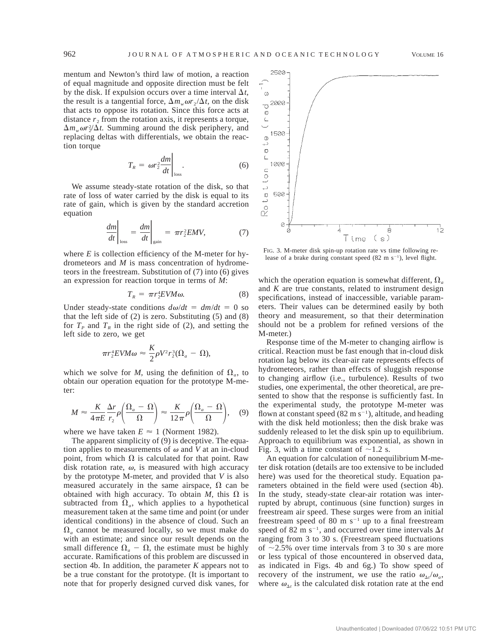mentum and Newton's third law of motion, a reaction of equal magnitude and opposite direction must be felt by the disk. If expulsion occurs over a time interval  $\Delta t$ , the result is a tangential force,  $\Delta m_w \omega r_2 / \Delta t$ , on the disk that acts to oppose its rotation. Since this force acts at distance  $r<sub>2</sub>$  from the rotation axis, it represents a torque,  $\Delta m_w \omega r_s^2 / \Delta t$ . Summing around the disk periphery, and replacing deltas with differentials, we obtain the reaction torque

$$
T_R = \omega r_2^2 \frac{dm}{dt} \bigg|_{\text{loss}}.\tag{6}
$$

We assume steady-state rotation of the disk, so that rate of loss of water carried by the disk is equal to its rate of gain, which is given by the standard accretion equation

$$
\left. \frac{dm}{dt} \right|_{\text{loss}} = \left. \frac{dm}{dt} \right|_{\text{gain}} = \pi r_2^2 EMV,\tag{7}
$$

where *E* is collection efficiency of the M-meter for hydrometeors and *M* is mass concentration of hydrometeors in the freestream. Substitution of (7) into (6) gives an expression for reaction torque in terms of *M*:

$$
T_R = \pi r_2^4 E V M \omega. \tag{8}
$$

Under steady-state conditions  $d\omega/dt = dm/dt = 0$  so that the left side of  $(2)$  is zero. Substituting  $(5)$  and  $(8)$ for  $T_p$  and  $T_R$  in the right side of (2), and setting the left side to zero, we get

$$
\pi r_2^4 EVM\omega \approx \frac{K}{2}\rho V^2 r_2^3 (\Omega_a - \Omega),
$$

which we solve for *M*, using the definition of  $\Omega_a$ , to obtain our operation equation for the prototype M-meter:

$$
M \approx \frac{K}{4\pi E} \frac{\Delta r}{r_2} \rho \left( \frac{\Omega_a - \Omega}{\Omega} \right) \approx \frac{K}{12\pi} \rho \left( \frac{\Omega_a - \Omega}{\Omega} \right), \quad (9)
$$

where we have taken  $E \approx 1$  (Norment 1982).

The apparent simplicity of (9) is deceptive. The equation applies to measurements of  $\omega$  and *V* at an in-cloud point, from which  $\Omega$  is calculated for that point. Raw disk rotation rate,  $\omega$ , is measured with high accuracy by the prototype M-meter, and provided that *V* is also measured accurately in the same airspace,  $\Omega$  can be obtained with high accuracy. To obtain *M*, this  $\Omega$  is subtracted from  $\Omega_a$ , which applies to a hypothetical measurement taken at the same time and point (or under identical conditions) in the absence of cloud. Such an  $\Omega_a$  cannot be measured locally, so we must make do with an estimate; and since our result depends on the small difference  $\Omega_a - \Omega$ , the estimate must be highly accurate. Ramifications of this problem are discussed in section 4b. In addition, the parameter *K* appears not to be a true constant for the prototype. (It is important to note that for properly designed curved disk vanes, for



FIG. 3. M-meter disk spin-up rotation rate vs time following release of a brake during constant speed  $(82 \text{ m s}^{-1})$ , level flight.

which the operation equation is somewhat different,  $\Omega_a$ and *K* are true constants, related to instrument design specifications, instead of inaccessible, variable parameters. Their values can be determined easily by both theory and measurement, so that their determination should not be a problem for refined versions of the M-meter.)

Response time of the M-meter to changing airflow is critical. Reaction must be fast enough that in-cloud disk rotation lag below its clear-air rate represents effects of hydrometeors, rather than effects of sluggish response to changing airflow (i.e., turbulence). Results of two studies, one experimental, the other theoretical, are presented to show that the response is sufficiently fast. In the experimental study, the prototype M-meter was flown at constant speed  $(82 \text{ m s}^{-1})$ , altitude, and heading with the disk held motionless; then the disk brake was suddenly released to let the disk spin up to equilibrium. Approach to equilibrium was exponential, as shown in Fig. 3, with a time constant of  $\sim$ 1.2 s.

An equation for calculation of nonequilibrium M-meter disk rotation (details are too extensive to be included here) was used for the theoretical study. Equation parameters obtained in the field were used (section 4b). In the study, steady-state clear-air rotation was interrupted by abrupt, continuous (sine function) surges in freestream air speed. These surges were from an initial freestream speed of 80 m  $s^{-1}$  up to a final freestream speed of 82 m s<sup>-1</sup>, and occurred over time intervals  $\Delta t$ ranging from 3 to 30 s. (Freestream speed fluctuations of  $\sim$ 2.5% over time intervals from 3 to 30 s are more or less typical of those encountered in observed data, as indicated in Figs. 4b and 6g.) To show speed of recovery of the instrument, we use the ratio  $\omega_{\Delta t}/\omega_a$ , where  $\omega_{\Delta t}$  is the calculated disk rotation rate at the end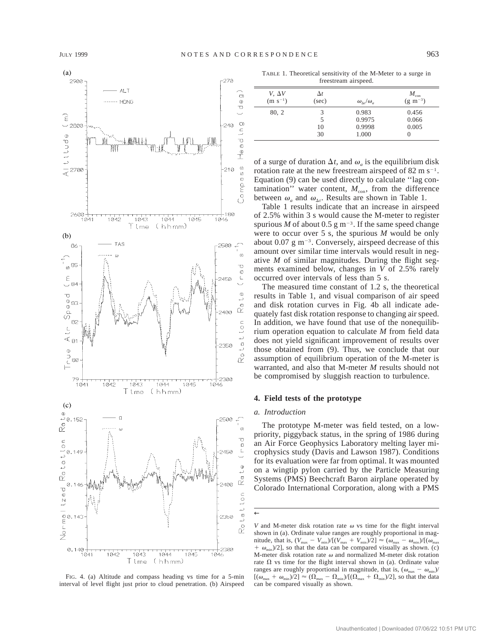

FIG. 4. (a) Altitude and compass heading vs time for a 5-min interval of level flight just prior to cloud penetration. (b) Airspeed

TABLE 1. Theoretical sensitivity of the M-Meter to a surge in freestream airspeed.

| $V. \Delta V$ | $\Delta t$ | $\omega_{\Lambda t}/\omega_a$ | $M_{\rm con}$   |
|---------------|------------|-------------------------------|-----------------|
| $(m s^{-1})$  | (sec)      |                               | $(g \; m^{-3})$ |
| 80, 2         | 3          | 0.983                         | 0.456           |
|               | 5          | 0.9975                        | 0.066           |
|               | 10         | 0.9998                        | 0.005           |
|               | 30         | 1.000                         | $\theta$        |

of a surge of duration  $\Delta t$ , and  $\omega_a$  is the equilibrium disk rotation rate at the new freestream airspeed of  $82 \text{ m s}^{-1}$ . Equation (9) can be used directly to calculate ''lag contamination'' water content,  $M_{\text{con}}$ , from the difference between  $\omega_a$  and  $\omega_{\Delta t}$ . Results are shown in Table 1.

Table 1 results indicate that an increase in airspeed of 2.5% within 3 s would cause the M-meter to register spurious *M* of about 0.5 g m<sup>-3</sup>. If the same speed change were to occur over 5 s, the spurious *M* would be only about 0.07 g  $m^{-3}$ . Conversely, airspeed decrease of this amount over similar time intervals would result in negative *M* of similar magnitudes. During the flight segments examined below, changes in *V* of 2.5% rarely occurred over intervals of less than 5 s.

The measured time constant of 1.2 s, the theoretical results in Table 1, and visual comparison of air speed and disk rotation curves in Fig. 4b all indicate adequately fast disk rotation response to changing air speed. In addition, we have found that use of the nonequilibrium operation equation to calculate *M* from field data does not yield significant improvement of results over those obtained from (9). Thus, we conclude that our assumption of equilibrium operation of the M-meter is warranted, and also that M-meter *M* results should not be compromised by sluggish reaction to turbulence.

### **4. Field tests of the prototype**

#### *a. Introduction*

←

The prototype M-meter was field tested, on a lowpriority, piggyback status, in the spring of 1986 during an Air Force Geophysics Laboratory melting layer microphysics study (Davis and Lawson 1987). Conditions for its evaluation were far from optimal. It was mounted on a wingtip pylon carried by the Particle Measuring Systems (PMS) Beechcraft Baron airplane operated by Colorado International Corporation, along with a PMS

*V* and M-meter disk rotation rate  $\omega$  vs time for the flight interval shown in (a). Ordinate value ranges are roughly proportional in magnitude, that is,  $(V_{\text{max}} - V_{\text{min}})/[(V_{\text{max}} + V_{\text{min}})/2] \approx (\omega_{\text{max}} - \omega_{\text{min}})/[(\omega_{\text{max}}$  $\omega_{\text{min}}/2$ ], so that the data can be compared visually as shown. (c) M-meter disk rotation rate  $\omega$  and normalized M-meter disk rotation rate  $\Omega$  vs time for the flight interval shown in (a). Ordinate value ranges are roughly proportional in magnitude, that is,  $(\omega_{\text{max}} - \omega_{\text{min}})$  $[(\omega_{\text{max}} + \omega_{\text{min}})/2] \approx (\Omega_{\text{max}} - \Omega_{\text{min}})/[(\Omega_{\text{max}} + \Omega_{\text{min}})/2]$ , so that the data can be compared visually as shown.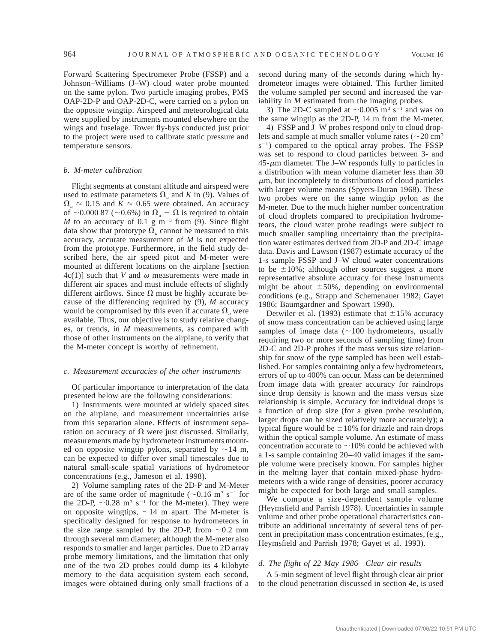Forward Scattering Spectrometer Probe (FSSP) and a Johnson–Williams (J–W) cloud water probe mounted on the same pylon. Two particle imaging probes, PMS OAP-2D-P and OAP-2D-C, were carried on a pylon on the opposite wingtip. Airspeed and meteorological data were supplied by instruments mounted elsewhere on the wings and fuselage. Tower fly-bys conducted just prior to the project were used to calibrate static pressure and temperature sensors.

### *b. M-meter calibration*

Flight segments at constant altitude and airspeed were used to estimate parameters  $\Omega_a$  and *K* in (9). Values of  $\Omega_a \approx 0.15$  and  $K \approx 0.65$  were obtained. An accuracy of  $\sim$ 0.000 87 ( $\sim$ 0.6%) in  $\Omega_a - \Omega$  is required to obtain *M* to an accuracy of 0.1 g  $m^{-3}$  from (9). Since flight data show that prototype  $\Omega_a$  cannot be measured to this accuracy, accurate measurement of *M* is not expected from the prototype. Furthermore, in the field study described here, the air speed pitot and M-meter were mounted at different locations on the airplane [section  $4c(1)$ ] such that *V* and  $\omega$  measurements were made in different air spaces and must include effects of slightly different airflows. Since  $\Omega$  must be highly accurate because of the differencing required by (9), *M* accuracy would be compromised by this even if accurate  $\Omega_a$  were available. Thus, our objective is to study relative changes, or trends, in *M* measurements, as compared with those of other instruments on the airplane, to verify that the M-meter concept is worthy of refinement.

#### *c. Measurement accuracies of the other instruments*

Of particular importance to interpretation of the data presented below are the following considerations:

1) Instruments were mounted at widely spaced sites on the airplane, and measurement uncertainties arise from this separation alone. Effects of instrument separation on accuracy of  $\Omega$  were just discussed. Similarly, measurements made by hydrometeor instruments mounted on opposite wingtip pylons, separated by  $\sim$ 14 m, can be expected to differ over small timescales due to natural small-scale spatial variations of hydrometeor concentrations (e.g., Jameson et al. 1998).

2) Volume sampling rates of the 2D-P and M-Meter are of the same order of magnitude ( $\sim$ 0.16 m<sup>3</sup> s<sup>-1</sup> for the 2D-P,  $\sim 0.28$  m<sup>3</sup> s<sup>-1</sup> for the M-meter). They were on opposite wingtips,  $\sim$  14 m apart. The M-meter is specifically designed for response to hydrometeors in the size range sampled by the 2D-P, from  $\sim 0.2$  mm through several mm diameter, although the M-meter also responds to smaller and larger particles. Due to 2D array probe memory limitations, and the limitation that only one of the two 2D probes could dump its 4 kilobyte memory to the data acquisition system each second, images were obtained during only small fractions of a

second during many of the seconds during which hydrometeor images were obtained. This further limited the volume sampled per second and increased the variability in *M* estimated from the imaging probes.

3) The 2D-C sampled at  $\sim$  0.005 m<sup>3</sup> s<sup>-1</sup> and was on the same wingtip as the 2D-P, 14 m from the M-meter.

4) FSSP and J–W probes respond only to cloud droplets and sample at much smaller volume rates ( $\sim$ 20 cm<sup>3</sup>  $s^{-1}$ ) compared to the optical array probes. The FSSP was set to respond to cloud particles between 3- and  $45-\mu m$  diameter. The J–W responds fully to particles in a distribution with mean volume diameter less than 30  $\mu$ m, but incompletely to distributions of cloud particles with larger volume means (Spyers-Duran 1968). These two probes were on the same wingtip pylon as the M-meter. Due to the much higher number concentration of cloud droplets compared to precipitation hydrometeors, the cloud water probe readings were subject to much smaller sampling uncertainty than the precipitation water estimates derived from 2D-P and 2D-C image data. Davis and Lawson (1987) estimate accuracy of the 1-s sample FSSP and J–W cloud water concentrations to be  $\pm 10\%$ ; although other sources suggest a more representative absolute accuracy for these instruments might be about  $\pm 50\%$ , depending on environmental conditions (e.g., Strapp and Schemenauer 1982; Gayet 1986; Baumgardner and Spowart 1990).

Detwiler et al. (1993) estimate that  $\pm 15\%$  accuracy of snow mass concentration can be achieved using large samples of image data  $($  ~100 hydrometeors, usually requiring two or more seconds of sampling time) from 2D-C and 2D-P probes if the mass versus size relationship for snow of the type sampled has been well established. For samples containing only a few hydrometeors, errors of up to 400% can occur. Mass can be determined from image data with greater accuracy for raindrops since drop density is known and the mass versus size relationship is simple. Accuracy for individual drops is a function of drop size (for a given probe resolution, larger drops can be sized relatively more accurately); a typical figure would be  $\pm 10\%$  for drizzle and rain drops within the optical sample volume. An estimate of mass concentration accurate to  $\sim$ 10% could be achieved with a 1-s sample containing 20–40 valid images if the sample volume were precisely known. For samples higher in the melting layer that contain mixed-phase hydrometeors with a wide range of densities, poorer accuracy might be expected for both large and small samples.

We compute a size-dependent sample volume (Heymsfield and Parrish 1978). Uncertainties in sample volume and other probe operational characteristics contribute an additional uncertainty of several tens of percent in precipitation mass concentration estimates, (e.g., Heymsfield and Parrish 1978; Gayet et al. 1993).

## *d. The flight of 22 May 1986—Clear air results*

A 5-min segment of level flight through clear air prior to the cloud penetration discussed in section 4e, is used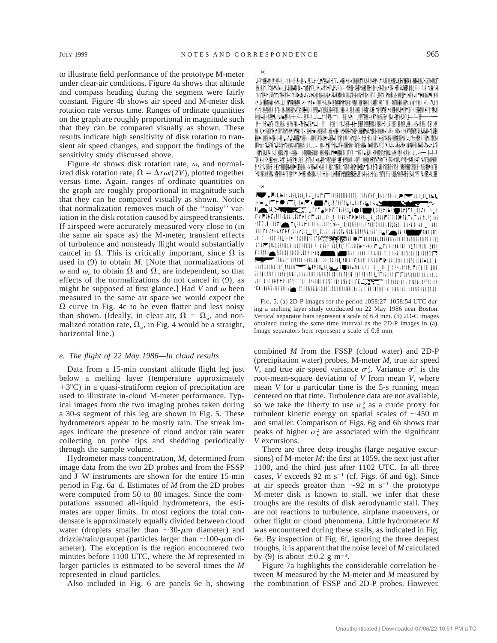to illustrate field performance of the prototype M-meter under clear-air conditions. Figure 4a shows that altitude and compass heading during the segment were fairly constant. Figure 4b shows air speed and M-meter disk rotation rate versus time. Ranges of ordinate quantities on the graph are roughly proportional in magnitude such that they can be compared visually as shown. These results indicate high sensitivity of disk rotation to transient air speed changes, and support the findings of the sensitivity study discussed above.

Figure 4c shows disk rotation rate,  $\omega$ , and normalized disk rotation rate,  $\Omega = \Delta r \omega/(2V)$ , plotted together versus time. Again, ranges of ordinate quantities on the graph are roughly proportional in magnitude such that they can be compared visually as shown. Notice that normalization removes much of the ''noisy'' variation in the disk rotation caused by airspeed transients. If airspeed were accurately measured very close to (in the same air space as) the M-meter, transient effects of turbulence and nonsteady flight would substantially cancel in  $\Omega$ . This is critically important, since  $\Omega$  is used in (9) to obtain *M.* [Note that normalizations of  $\omega$  and  $\omega_a$  to obtain  $\Omega$  and  $\Omega_a$  are independent, so that effects of the normalizations do not cancel in (9), as might be supposed at first glance.] Had  $V$  and  $\omega$  been measured in the same air space we would expect the  $\Omega$  curve in Fig. 4c to be even flatter and less noisy than shown. (Ideally, in clear air,  $\Omega = \Omega_a$ , and normalized rotation rate,  $\Omega_a$ , in Fig. 4 would be a straight, horizontal line.)

## *e. The flight of 22 May 1986—In cloud results*

Data from a 15-min constant altitude flight leg just below a melting layer (temperature approximately  $+3^{\circ}$ C) in a quasi-stratiform region of precipitation are used to illustrate in-cloud M-meter performance. Typical images from the two imaging probes taken during a 30-s segment of this leg are shown in Fig. 5. These hydrometeors appear to be mostly rain. The streak images indicate the presence of cloud and/or rain water collecting on probe tips and shedding periodically through the sample volume.

Hydrometer mass concentration, *M,* determined from image data from the two 2D probes and from the FSSP and J–W instruments are shown for the entire 15-min period in Fig. 6a–d. Estimates of *M* from the 2D probes were computed from 50 to 80 images. Since the computations assumed all-liquid hydrometeors, the estimates are upper limits. In most regions the total condensate is approximately equally divided between cloud water (droplets smaller than  $\sim$ 30- $\mu$ m diameter) and drizzle/rain/graupel (particles larger than  $\sim$ 100- $\mu$ m diameter). The exception is the region encountered two minutes before 1100 UTC, where the *M* represented in larger particles is estimated to be several times the *M* represented in cloud particles.

Also included in Fig. 6 are panels 6e–h, showing

HARRITOR CALL AND GUN FINET LIPLEY FOR HARRIF CHARGE IN HER HARRY NETHER THE MINIMUM DEDE THE REPORT OF PERMIS CHARGE PROTECTIVE REPORT OF REGISTRATION OF CONTRACT OF PERMISSION CONTRACTS. FOR RICHARD CONTRACTOR OF THE THE CONTRACTOR OF THE CONTRACTOR OF THE CONTRACTOR OF THE CONTRACTOR OF THE CONTRACTOR N-NYAN-NUNGHIRALIFINAN'LE-NI-MITTLAIL-TERMANATAN-KUGINANANANANANAN ПОРЕКО-РЕНЕГЛЯРИЕ ПОЛНАН «ПРОГОСТЕНИЕ ПО СЕКТЕМЕНТ» И ОБРАЗОВАНИЯ ПО СЕКТЕМЕНТАЛЬНАЯ IN THE RELEASED OF THE RELEASED CONTRACT OF A RELEASED FOR A RELEASED FOR THE RELEASED OF A RELEASED OF A RELEASED OF A RELEASED OF A RELEASED OF A RELEASED OF A RELEASED OF A RELEASED OF A RELEASED OF A RELEASED OF A RELE **心理的 和心中的时间的时间上下的中国的小时间的时间的同时间的世界和中国的时间的** ARY ROOM AND ROOM OF LARACE ARRAIGNMENT OF THE RESIDENCE AND A RESIDENCE LEASE LARACE THE REPORT OF THE RECORD FOR THE RELEASE OF THE REPORT OF THE RELEASE OF THE REPORT OF THE RELEASE FOR A PROPERTY ER ONLIGHTEND WORK ON ANTIBIATIVE AND DESIGNATION CONTROL OF THE UNIT OF CONSTRUCTION OF THE UNIT OF AN O A CONVENIDAMENTE DE NOTE ELE FINOLOGIA DE FINOLE HAY PROBABILIBILITA DE DUNISIO DURANTE FOI TENA FISICIA DU FU

 $\begin{picture}(180,10) \put(0,0){\line(1,0){10}} \put(0,0){\line(1,0){10}} \put(0,0){\line(1,0){10}} \put(0,0){\line(1,0){10}} \put(0,0){\line(1,0){10}} \put(0,0){\line(1,0){10}} \put(0,0){\line(1,0){10}} \put(0,0){\line(1,0){10}} \put(0,0){\line(1,0){10}} \put(0,0){\line(1,0){10}} \put(0,0){\line(1,0){10}} \put(0,0){\line(1,0){10}} \put(0$ FREE CONTINUES TO A RESERVE AND THE CONTINUES OF THE CONTINUES OF THE CONTINUES OF THE CONTINUES OF THE CONTINUES OF THE CONTINUES OF THE CONTINUES OF THE CONTINUES OF THE CONTINUES OF THE CONTINUES OF THE CONTINUES OF THE ורכם חוור **| ∠**רכם בו החוק וילוצץ, עותם התחומות התחומה החוק להם THE REPORT OF THE REPORT OF THE REPORT OF THE REPORT OF THE REPORT OF THE REPORT OF THE REPORT OF THE REPORT OF THE REPORT OF THE REPORT OF THE REPORT OF THE REPORT OF THE REPORT OF THE REPORT OF THE REPORT OF THE REPORT O **ATTENUE AU DE TRANSPORTE DE L'ANGERE DE L'ANGERIE DE L'ANGERIE DE L'ANGERIE DE L'ANGERIE DE L'ANGERIE DE L'ANG** THE TELEVISION INTERFERENCE IN THE RESERVE THE CONTRIBUTION OF THE CONTRIBUTION OF THE RESERVE OF THE UNIT OF THE UNIT OF THE UNIT OF THE UNIT OF THE UNIT OF THE UNIT OF THE UNIT OF THE UNIT OF THE UNIT OF THE UNIT OF THE HOLD TO THE REAL PROPERTY OF THE REAL PROPERTY OF THE REAL PROPERTY OF THE REAL PROPERTY OF THE REAL PROPERTY OF THE REAL PROPERTY OF THE REAL PROPERTY OF THE REAL PROPERTY OF THE REAL PROPERTY OF THE REAL PROPERTY OF THE 

FIG. 5. (a) 2D-P images for the period 1058:27–1058:54 UTC during a melting layer study conducted on 22 May 1986 near Boston. Vertical separator bars represent a scale of 6.4 mm. (b) 2D-C images obtained during the same time interval as the 2D-P images in (a). Image separators here represent a scale of 0.8 mm.

combined *M* from the FSSP (cloud water) and 2D-P (precipitation water) probes, M-meter *M,* true air speed *V*, and true air speed variance  $\sigma_v^2$ . Variance  $\sigma_v^2$  is the root-mean-square deviation of *V* from mean *V,* where mean *V* for a particular time is the 5-s running mean centered on that time. Turbulence data are not available, so we take the liberty to use  $\sigma_v^2$  as a crude proxy for turbulent kinetic energy on spatial scales of  $\sim$ 450 m and smaller. Comparison of Figs. 6g and 6h shows that peaks of higher  $\sigma_v^2$  are associated with the significant *V* excursions.

There are three deep troughs (large negative excursions) of M-meter *M*: the first at 1059, the next just after 1100, and the third just after 1102 UTC. In all three cases, *V* exceeds 92 m  $s^{-1}$  (cf. Figs. 6f and 6g). Since at air speeds greater than  $\sim$ 92 m s<sup>-1</sup> the prototype M-meter disk is known to stall, we infer that these troughs are the results of disk aerodynamic stall. They are not reactions to turbulence, airplane maneuvers, or other flight or cloud phenomena. Little hydrometeor *M* was encountered during these stalls, as indicated in Fig. 6e. By inspection of Fig. 6f, ignoring the three deepest troughs, it is apparent that the noise level of *M* calculated by (9) is about  $\pm 0.2$  g m<sup>-3</sup>.

Figure 7a highlights the considerable correlation between *M* measured by the M-meter and *M* measured by the combination of FSSP and 2D-P probes. However,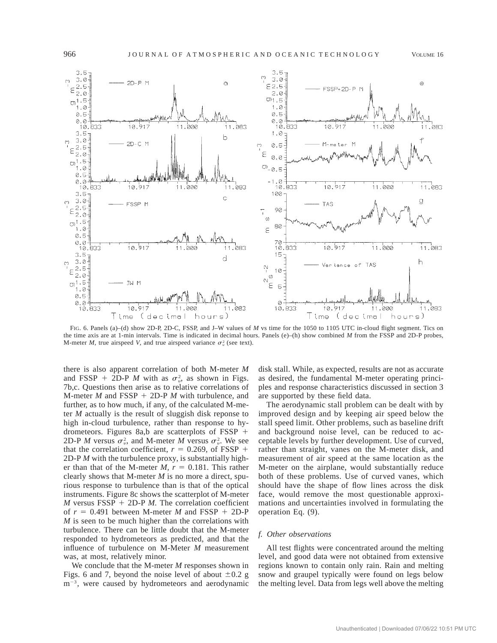

FIG. 6. Panels (a)–(d) show 2D-P, 2D-C, FSSP, and J–W values of *M* vs time for the 1050 to 1105 UTC in-cloud flight segment. Tics on the time axis are at 1-min intervals. Time is indicated in decimal hours. Panels (e)–(h) show combined *M* from the FSSP and 2D-P probes, M-meter *M*, true airspeed *V*, and true airspeed variance  $\sigma_v^2$  (see text).

there is also apparent correlation of both M-meter *M* and FSSP + 2D-P *M* with as  $\sigma_v^2$ , as shown in Figs. 7b,c. Questions then arise as to relative correlations of M-meter *M* and  $FSSP + 2D-PM$  with turbulence, and further, as to how much, if any, of the calculated M-meter *M* actually is the result of sluggish disk reponse to high in-cloud turbulence, rather than response to hydrometeors. Figures 8a,b are scatterplots of  $FSSP$  + 2D-P *M* versus  $\sigma_v^2$ , and M-meter *M* versus  $\sigma_v^2$ . We see that the correlation coefficient,  $r = 0.269$ , of FSSP + 2D-P *M* with the turbulence proxy, is substantially higher than that of the M-meter  $M$ ,  $r = 0.181$ . This rather clearly shows that M-meter *M* is no more a direct, spurious response to turbulence than is that of the optical instruments. Figure 8c shows the scatterplot of M-meter *M* versus  $FSSP + 2D-P$  *M*. The correlation coefficient of  $r = 0.491$  between M-meter *M* and FSSP + 2D-P *M* is seen to be much higher than the correlations with turbulence. There can be little doubt that the M-meter responded to hydrometeors as predicted, and that the influence of turbulence on M-Meter *M* measurement was, at most, relatively minor.

We conclude that the M-meter *M* responses shown in Figs. 6 and 7, beyond the noise level of about  $\pm 0.2$  g  $m^{-3}$ , were caused by hydrometeors and aerodynamic disk stall. While, as expected, results are not as accurate as desired, the fundamental M-meter operating principles and response characteristics discussed in section 3 are supported by these field data.

The aerodynamic stall problem can be dealt with by improved design and by keeping air speed below the stall speed limit. Other problems, such as baseline drift and background noise level, can be reduced to acceptable levels by further development. Use of curved, rather than straight, vanes on the M-meter disk, and measurement of air speed at the same location as the M-meter on the airplane, would substantially reduce both of these problems. Use of curved vanes, which should have the shape of flow lines across the disk face, would remove the most questionable approximations and uncertainties involved in formulating the operation Eq. (9).

## *f. Other observations*

All test flights were concentrated around the melting level, and good data were not obtained from extensive regions known to contain only rain. Rain and melting snow and graupel typically were found on legs below the melting level. Data from legs well above the melting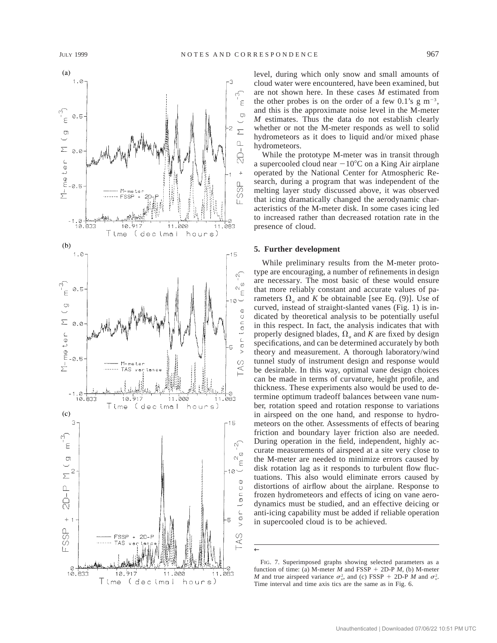

level, during which only snow and small amounts of cloud water were encountered, have been examined, but are not shown here. In these cases *M* estimated from the other probes is on the order of a few 0.1's  $g \text{ m}^{-3}$ , and this is the approximate noise level in the M-meter *M* estimates. Thus the data do not establish clearly whether or not the M-meter responds as well to solid hydrometeors as it does to liquid and/or mixed phase hydrometeors.

While the prototype M-meter was in transit through a supercooled cloud near  $-10^{\circ}$ C on a King Air airplane operated by the National Center for Atmospheric Research, during a program that was independent of the melting layer study discussed above, it was observed that icing dramatically changed the aerodynamic characteristics of the M-meter disk. In some cases icing led to increased rather than decreased rotation rate in the presence of cloud.

## **5. Further development**

While preliminary results from the M-meter prototype are encouraging, a number of refinements in design are necessary. The most basic of these would ensure that more reliably constant and accurate values of parameters  $\Omega_a$  and *K* be obtainable [see Eq. (9)]. Use of curved, instead of straight-slanted vanes (Fig. 1) is indicated by theoretical analysis to be potentially useful in this respect. In fact, the analysis indicates that with properly designed blades,  $\Omega_a$  and *K* are fixed by design specifications, and can be determined accurately by both theory and measurement. A thorough laboratory/wind tunnel study of instrument design and response would be desirable. In this way, optimal vane design choices can be made in terms of curvature, height profile, and thickness. These experiments also would be used to determine optimum tradeoff balances between vane number, rotation speed and rotation response to variations in airspeed on the one hand, and response to hydrometeors on the other. Assessments of effects of bearing friction and boundary layer friction also are needed. During operation in the field, independent, highly accurate measurements of airspeed at a site very close to the M-meter are needed to minimize errors caused by disk rotation lag as it responds to turbulent flow fluctuations. This also would eliminate errors caused by distortions of airflow about the airplane. Response to frozen hydrometeors and effects of icing on vane aerodynamics must be studied, and an effective deicing or anti-icing capability must be added if reliable operation in supercooled cloud is to be achieved.

←

FIG. 7. Superimposed graphs showing selected parameters as a function of time: (a) M-meter  $M$  and FSSP + 2D-P  $M$ , (b) M-meter *M* and true airspeed variance  $\sigma_v^2$ , and (c) FSSP + 2D-P *M* and  $\sigma_v^2$ . Time interval and time axis tics are the same as in Fig. 6.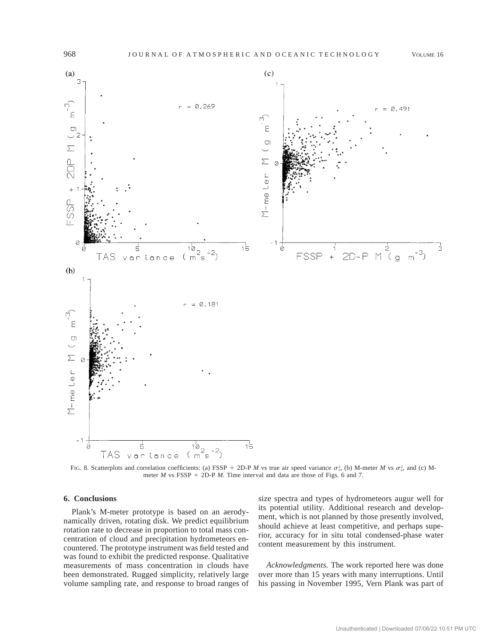

FIG. 8. Scatterplots and correlation coefficients: (a) FSSP + 2D-P *M* vs true air speed variance  $\sigma_v^2$ , (b) M-meter *M* vs  $\sigma_v^2$ , and (c) Mmeter  $M$  vs FSSP + 2D-P  $M$ . Time interval and data are those of Figs. 6 and 7.

## **6. Conclusions**

Plank's M-meter prototype is based on an aerodynamically driven, rotating disk. We predict equilibrium rotation rate to decrease in proportion to total mass concentration of cloud and precipitation hydrometeors encountered. The prototype instrument was field tested and was found to exhibit the predicted response. Qualitative measurements of mass concentration in clouds have been demonstrated. Rugged simplicity, relatively large volume sampling rate, and response to broad ranges of

size spectra and types of hydrometeors augur well for its potential utility. Additional research and development, which is not planned by those presently involved, should achieve at least competitive, and perhaps superior, accuracy for in situ total condensed-phase water content measurement by this instrument.

*Acknowledgments.* The work reported here was done over more than 15 years with many interruptions. Until his passing in November 1995, Vern Plank was part of